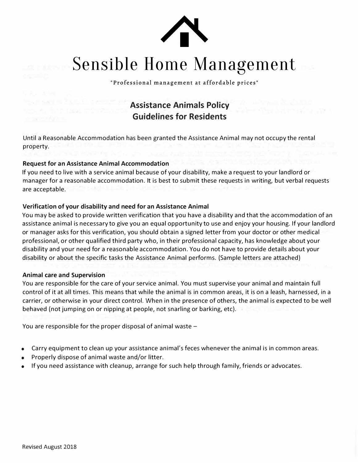

# Sensible Home Management

"Professional management at affordable prices"

## **Assistance Animals Policy Guidelines for Residents**

Until a Reasonable Accommodation has been granted the Assistance Animal may not occupy the rental property.

### **Request for an Assistance Animal Accommodation**

If you need to live with a service animal because of your disability, make a request to your landlord or manager for a reasonable accommodation. It is best to submit these requests in writing, but verbal requests are acceptable.

### **Verification of your disability and need for an Assistance Animal**

You may be asked to provide written verification that you have a disability and that the accommodation of an assistance animal is necessary to give you an equal opportunity to use and enjoy your housing. If your landlord or manager asks for this verification, you should obtain a signed letter from your doctor or other medical professional, or other qualified third party who, in their professional capacity, has knowledge about your disability and your need for a reasonable accommodation. You do not have to provide details about your disability or about the specific tasks the Assistance Animal performs. (Sample letters are attached)

#### **Animal care and Supervision**

You are responsible for the care of your service animal. You must supervise your animal and maintain full control of it at all times. This means that while the animal is in common areas, it is on a leash, harnessed, in a carrier, or otherwise in your direct control. When in the presence of others, the animal is expected to be well behaved (not jumping on or nipping at people, not snarling or barking, etc).

You are responsible for the proper disposal of animal waste  $-$ 

- Carry equipment to clean up your assistance animal's feces whenever the animal is in common areas.
- Properly dispose of animal waste and/or litter.
- If you need assistance with cleanup, arrange for such help through family, friends or advocates.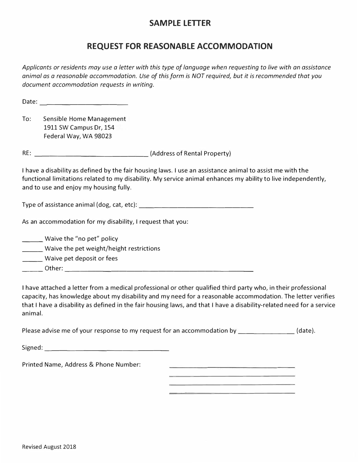## **SAMPLE LETTER**

## **REQUEST FOR REASONABLE ACCOMMODATION**

*Applicants or residents may use a letter with this type of language when requesting to live with an assistance animal as a reasonable accommodation. Use of this form is NOT required, but it is recommended that you document accommodation requests in writing.* 

Date: \_\_\_\_\_\_\_\_\_\_\_

To: Sensible Home Management 1911 SW Campus Dr, 154 Federal Way, WA 98023

RE: \_\_\_\_\_\_\_\_\_\_\_\_\_\_\_ (Address of Rental Property)

I have a disability as defined by the fair housing laws. I use an assistance animal to assist me with the functional limitations related to my disability. My service animal enhances my ability to live independently, and to use and enjoy my housing fully.

Type of assistance animal (dog, cat, etc): \_\_\_\_\_\_\_\_\_\_\_\_\_\_ \_

As an accommodation for my disability, I request that you:

| Waive the "no pet" policy                |  |
|------------------------------------------|--|
| Waive the pet weight/height restrictions |  |
| Waive pet deposit or fees                |  |
| Other:                                   |  |

I have attached a letter from a medical professional or other qualified third party who, in their professional capacity, has knowledge about my disability and my need for a reasonable accommodation. The letter verifies that I have a disability as defined in the fair housing laws, and that I have a disability-related need for a service animal.

Please advise me of your response to my request for an accommodation by [1431].

| Signed: |  |  |  |
|---------|--|--|--|
|         |  |  |  |

Printed Name, Address & Phone Number: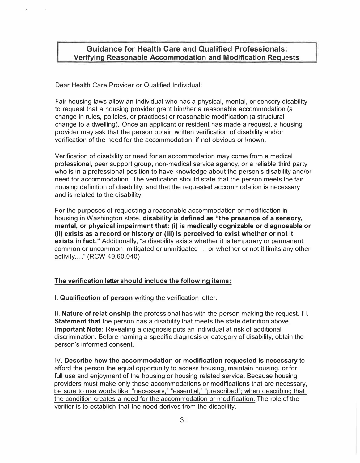## **Guidance for Health Care and Qualified Professionals: Verifying Reasonable Accommodation and Modification Requests**

Dear Health Care Provider or Qualified Individual:

Fair housing laws allow an individual who has a physical, mental, or sensory disability to request that a housing provider grant him/her a reasonable accommodation (a change in rules, policies, or practices) or reasonable modification (a structural change to a dwelling). Once an applicant or resident has made a request, a housing provider may ask that the person obtain written verification of disability and/or verification of the need for the accommodation, if not obvious or known.

Verification of disability or need for an accommodation may come from a medical professional, peer support group, non-medical service agency, or a reliable third party who is in a professional position to have knowledge about the person's disability and/or need for accommodation. The verification should state that the person meets the fair housing definition of disability, and that the requested accommodation is necessary and is related to the disability.

For the purposes of requesting a reasonable accommodation or modification in housing in Washington state, **disability is defined as "the presence of a sensory, mental, or physical impairment that: (i) is medically cognizable or diagnosable or (ii) exists as a record or history or (iii) is perceived to exist whether or not it exists in fact."** Additionally, "a disability exists whether it is temporary or permanent, common or uncommon, mitigated or unmitigated ... or whether or not it limits any other activity .... " (RCW 49.60.040)

#### **The verification letter should include the following items:**

I. **Qualification of person** writing the verification letter.

II. **Nature of relationship** the professional has with the person making the request. Ill. **Statement that** the person has a disability that meets the state definition above. **Important Note:** Revealing a diagnosis puts an individual at risk of additional discrimination. Before naming a specific diagnosis or category of disability, obtain the person's informed consent.

IV. **Describe how the accommodation or modification requested is necessary** to afford the person the equal opportunity to access housing, maintain housing, or for full use and enjoyment of the housing or housing related service. Because housing providers must make only those accommodations or modifications that are necessary, be sure to use words like: "necessary," "essential," "prescribed"; when describing that the condition creates a need for the accommodation or modification. The role of the verifier is to establish that the need derives from the disability.